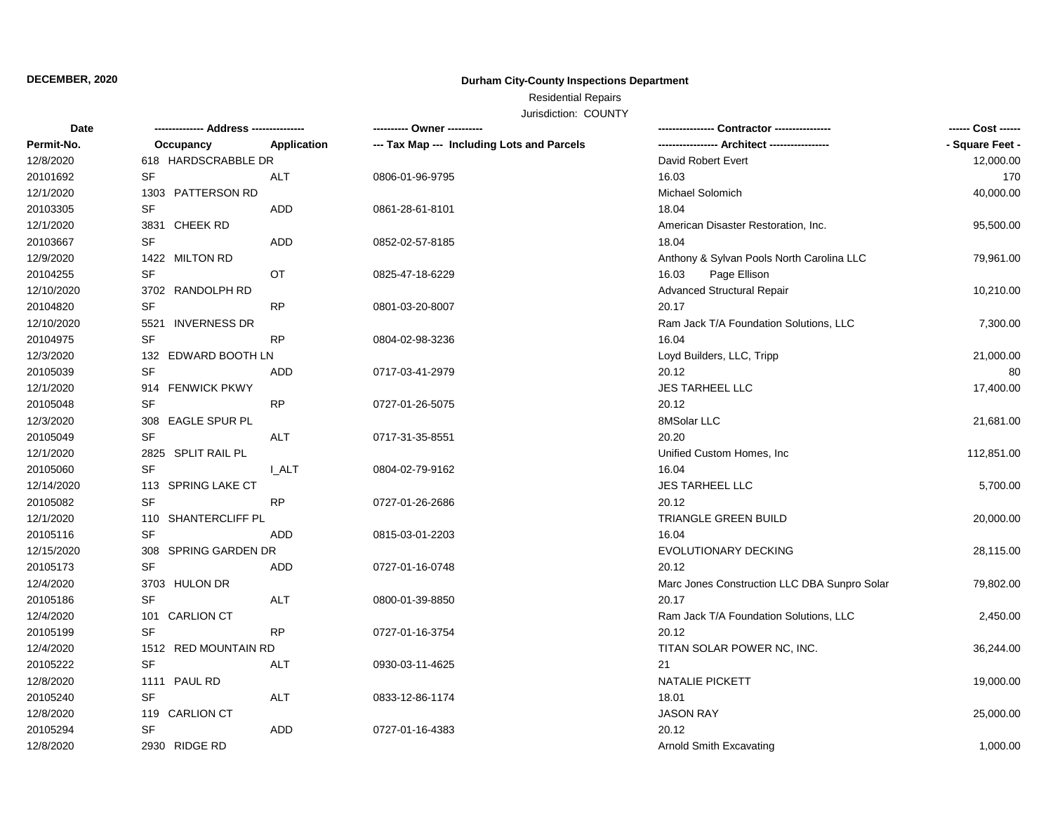### **DECEMBER, 2020**

### **Durham City-County Inspections Department**

# Residential Repairs

Jurisdiction: COUNTY

| Date       |                             |              | ---------- Owner ----------                |                                              | ------ Cost ------ |
|------------|-----------------------------|--------------|--------------------------------------------|----------------------------------------------|--------------------|
| Permit-No. | Occupancy                   | Application  | --- Tax Map --- Including Lots and Parcels |                                              | - Square Feet -    |
| 12/8/2020  | 618 HARDSCRABBLE DR         |              |                                            | David Robert Evert                           | 12,000.00          |
| 20101692   | <b>SF</b>                   | ALT          | 0806-01-96-9795                            | 16.03                                        | 170                |
| 12/1/2020  | 1303 PATTERSON RD           |              |                                            | Michael Solomich                             | 40,000.00          |
| 20103305   | SF                          | <b>ADD</b>   | 0861-28-61-8101                            | 18.04                                        |                    |
| 12/1/2020  | 3831 CHEEK RD               |              |                                            | American Disaster Restoration, Inc.          | 95,500.00          |
| 20103667   | <b>SF</b>                   | <b>ADD</b>   | 0852-02-57-8185                            | 18.04                                        |                    |
| 12/9/2020  | 1422 MILTON RD              |              |                                            | Anthony & Sylvan Pools North Carolina LLC    | 79,961.00          |
| 20104255   | SF                          | OT           | 0825-47-18-6229                            | 16.03<br>Page Ellison                        |                    |
| 12/10/2020 | 3702 RANDOLPH RD            |              |                                            | <b>Advanced Structural Repair</b>            | 10,210.00          |
| 20104820   | <b>SF</b>                   | <b>RP</b>    | 0801-03-20-8007                            | 20.17                                        |                    |
| 12/10/2020 | <b>INVERNESS DR</b><br>5521 |              |                                            | Ram Jack T/A Foundation Solutions, LLC       | 7,300.00           |
| 20104975   | <b>SF</b>                   | <b>RP</b>    | 0804-02-98-3236                            | 16.04                                        |                    |
| 12/3/2020  | 132 EDWARD BOOTH LN         |              |                                            | Loyd Builders, LLC, Tripp                    | 21,000.00          |
| 20105039   | <b>SF</b>                   | ADD          | 0717-03-41-2979                            | 20.12                                        | 80                 |
| 12/1/2020  | 914 FENWICK PKWY            |              |                                            | JES TARHEEL LLC                              | 17,400.00          |
| 20105048   | <b>SF</b>                   | <b>RP</b>    | 0727-01-26-5075                            | 20.12                                        |                    |
| 12/3/2020  | 308 EAGLE SPUR PL           |              |                                            | 8MSolar LLC                                  | 21,681.00          |
| 20105049   | <b>SF</b>                   | ALT          | 0717-31-35-8551                            | 20.20                                        |                    |
| 12/1/2020  | 2825 SPLIT RAIL PL          |              |                                            | Unified Custom Homes, Inc.                   | 112,851.00         |
| 20105060   | SF                          | <b>I_ALT</b> | 0804-02-79-9162                            | 16.04                                        |                    |
| 12/14/2020 | 113 SPRING LAKE CT          |              |                                            | <b>JES TARHEEL LLC</b>                       | 5,700.00           |
| 20105082   | <b>SF</b>                   | <b>RP</b>    | 0727-01-26-2686                            | 20.12                                        |                    |
| 12/1/2020  | 110 SHANTERCLIFF PL         |              |                                            | TRIANGLE GREEN BUILD                         | 20,000.00          |
| 20105116   | <b>SF</b>                   | ADD          | 0815-03-01-2203                            | 16.04                                        |                    |
| 12/15/2020 | 308 SPRING GARDEN DR        |              |                                            | EVOLUTIONARY DECKING                         | 28,115.00          |
| 20105173   | <b>SF</b>                   | ADD          | 0727-01-16-0748                            | 20.12                                        |                    |
| 12/4/2020  | 3703 HULON DR               |              |                                            | Marc Jones Construction LLC DBA Sunpro Solar | 79,802.00          |
| 20105186   | <b>SF</b>                   | ALT          | 0800-01-39-8850                            | 20.17                                        |                    |
| 12/4/2020  | <b>CARLION CT</b><br>101    |              |                                            | Ram Jack T/A Foundation Solutions, LLC       | 2,450.00           |
| 20105199   | <b>SF</b>                   | <b>RP</b>    | 0727-01-16-3754                            | 20.12                                        |                    |
| 12/4/2020  | 1512 RED MOUNTAIN RD        |              |                                            | TITAN SOLAR POWER NC, INC.                   | 36,244.00          |
| 20105222   | <b>SF</b>                   | ALT          | 0930-03-11-4625                            | 21                                           |                    |
| 12/8/2020  | 1111 PAUL RD                |              |                                            | <b>NATALIE PICKETT</b>                       | 19,000.00          |
| 20105240   | SF                          | ALT          | 0833-12-86-1174                            | 18.01                                        |                    |
| 12/8/2020  | 119 CARLION CT              |              |                                            | <b>JASON RAY</b>                             | 25,000.00          |
| 20105294   | <b>SF</b>                   | ADD          | 0727-01-16-4383                            | 20.12                                        |                    |
| 12/8/2020  | 2930 RIDGE RD               |              |                                            | Arnold Smith Excavating                      | 1,000.00           |